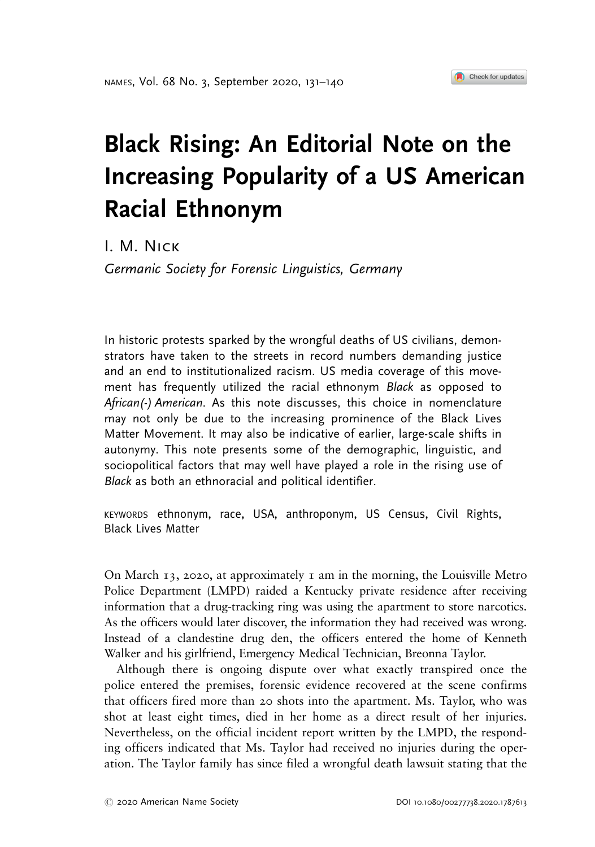## Black Rising: An Editorial Note on the Increasing Popularity of a US American Racial Ethnonym

I. M. Nick

 $\mathcal{S}$  for  $\mathcal{S}$  ,  $\mathcal{S}$  for  $\mathcal{S}$  and  $\mathcal{S}$ 

In historic protests sparked by the wrongful deaths of US civilians, demonstrators have taken to the streets in record numbers demanding justice and an end to institutionalized racism. US media coverage of this movement has frequently utilized the racial ethnonym Black as opposed to African(-) American. As this note discusses, this choice in nomenclature may not only be due to the increasing prominence of the Black Lives Matter Movement. It may also be indicative of earlier, large-scale shifts in autonymy. This note presents some of the demographic, linguistic, and sociopolitical factors that may well have played a role in the rising use of Black as both an ethnoracial and political identifier.

KEYWORDS ethnonym, race, USA, anthroponym, US Census, Civil Rights, Black Lives Matter

On March  $13$ , 2020, at approximately 1 am in the morning, the Louisville Metro Police Department (LMPD) raided a Kentucky private residence after receiving information that a drug-tracking ring was using the apartment to store narcotics. As the officers would later discover, the information they had received was wrong. Instead of a clandestine drug den, the officers entered the home of Kenneth Walker and his girlfriend, Emergency Medical Technician, Breonna Taylor.

Although there is ongoing dispute over what exactly transpired once the police entered the premises, forensic evidence recovered at the scene confirms that officers fired more than 20 shots into the apartment. Ms. Taylor, who was shot at least eight times, died in her home as a direct result of her injuries. Nevertheless, on the official incident report written by the LMPD, the responding officers indicated that Ms. Taylor had received no injuries during the operation. The Taylor family has since filed a wrongful death lawsuit stating that the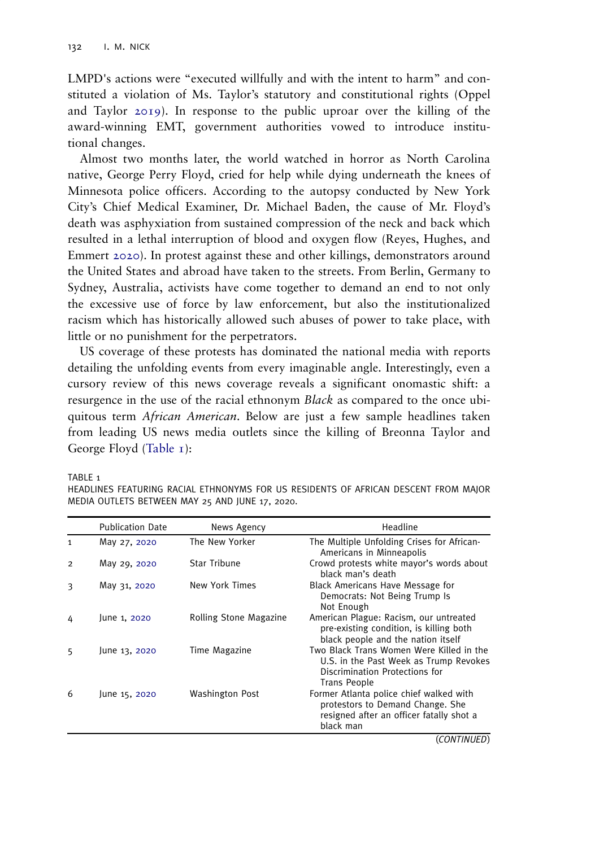<span id="page-1-0"></span>LMPD's actions were "executed willfully and with the intent to harm" and constituted a violation of Ms. Taylor's statutory and constitutional rights (Oppel and Taylor [2019\)](#page-8-0). In response to the public uproar over the killing of the award-winning EMT, government authorities vowed to introduce institutional changes.

Almost two months later, the world watched in horror as North Carolina native, George Perry Floyd, cried for help while dying underneath the knees of Minnesota police officers. According to the autopsy conducted by New York City's Chief Medical Examiner, Dr. Michael Baden, the cause of Mr. Floyd's death was asphyxiation from sustained compression of the neck and back which resulted in a lethal interruption of blood and oxygen flow (Reyes, Hughes, and Emmert [2020\)](#page-8-0). In protest against these and other killings, demonstrators around the United States and abroad have taken to the streets. From Berlin, Germany to Sydney, Australia, activists have come together to demand an end to not only the excessive use of force by law enforcement, but also the institutionalized racism which has historically allowed such abuses of power to take place, with little or no punishment for the perpetrators.

US coverage of these protests has dominated the national media with reports detailing the unfolding events from every imaginable angle. Interestingly, even a cursory review of this news coverage reveals a significant onomastic shift: a resurgence in the use of the racial ethnonym *Black* as compared to the once ubiquitous term African American. Below are just a few sample headlines taken from leading US news media outlets since the killing of Breonna Taylor and George Floyd (Table 1):

TABLE 1

|  | HEADLINES FEATURING RACIAL ETHNONYMS FOR US RESIDENTS OF AFRICAN DESCENT FROM MAJOR |  |  |  |  |
|--|-------------------------------------------------------------------------------------|--|--|--|--|
|  | MEDIA OUTLETS BETWEEN MAY 25 AND JUNE 17, 2020.                                     |  |  |  |  |

|                | <b>Publication Date</b> | News Agency            | Headline                                                                                                                             |
|----------------|-------------------------|------------------------|--------------------------------------------------------------------------------------------------------------------------------------|
| 1              | May 27, 2020            | The New Yorker         | The Multiple Unfolding Crises for African-<br>Americans in Minneapolis                                                               |
| $\overline{2}$ | May 29, 2020            | <b>Star Tribune</b>    | Crowd protests white mayor's words about<br>black man's death                                                                        |
| 3              | May 31, 2020            | New York Times         | Black Americans Have Message for<br>Democrats: Not Being Trump Is<br>Not Enough                                                      |
| 4              | June 1, 2020            | Rolling Stone Magazine | American Plague: Racism, our untreated<br>pre-existing condition, is killing both<br>black people and the nation itself              |
| 5              | June 13, 2020           | Time Magazine          | Two Black Trans Women Were Killed in the<br>U.S. in the Past Week as Trump Revokes<br>Discrimination Protections for<br>Trans People |
| 6              | June 15, 2020           | Washington Post        | Former Atlanta police chief walked with<br>protestors to Demand Change. She<br>resigned after an officer fatally shot a<br>black man |
|                |                         |                        | (CONTINUED)                                                                                                                          |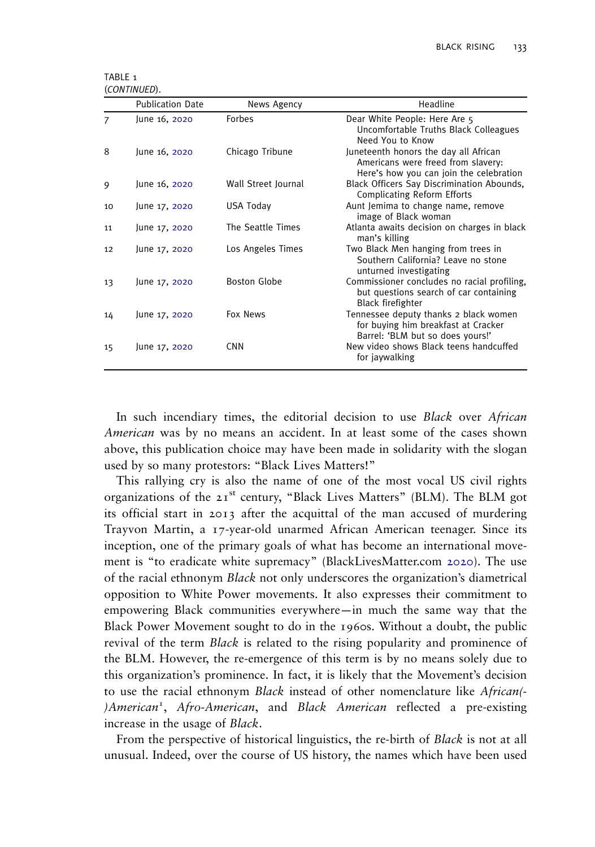<span id="page-2-0"></span>TABLE<sub>1</sub> (CONTINUED).

|    | <b>Publication Date</b> | News Agency         | Headline                                                                                                               |
|----|-------------------------|---------------------|------------------------------------------------------------------------------------------------------------------------|
| 7  | June 16, 2020           | Forbes              | Dear White People: Here Are 5<br>Uncomfortable Truths Black Colleagues<br>Need You to Know                             |
| 8  | June 16, 2020           | Chicago Tribune     | Juneteenth honors the day all African<br>Americans were freed from slavery:<br>Here's how you can join the celebration |
| 9  | June 16, 2020           | Wall Street Journal | Black Officers Say Discrimination Abounds,<br><b>Complicating Reform Efforts</b>                                       |
| 10 | June 17, 2020           | USA Today           | Aunt Jemima to change name, remove<br>image of Black woman                                                             |
| 11 | June 17, 2020           | The Seattle Times   | Atlanta awaits decision on charges in black<br>man's killing                                                           |
| 12 | June 17, 2020           | Los Angeles Times   | Two Black Men hanging from trees in<br>Southern California? Leave no stone<br>unturned investigating                   |
| 13 | June 17, 2020           | Boston Globe        | Commissioner concludes no racial profiling,<br>but questions search of car containing<br>Black firefighter             |
| 14 | June 17, 2020           | Fox News            | Tennessee deputy thanks 2 black women<br>for buying him breakfast at Cracker<br>Barrel: 'BLM but so does yours!'       |
| 15 | June 17, 2020           | <b>CNN</b>          | New video shows Black teens handcuffed<br>for jaywalking                                                               |

In such incendiary times, the editorial decision to use Black over African American was by no means an accident. In at least some of the cases shown above, this publication choice may have been made in solidarity with the slogan used by so many protestors: "Black Lives Matters!"

This rallying cry is also the name of one of the most vocal US civil rights organizations of the 21st century, "Black Lives Matters" (BLM). The BLM got its official start in 2013 after the acquittal of the man accused of murdering Trayvon Martin, a 17-year-old unarmed African American teenager. Since its inception, one of the primary goals of what has become an international movement is "to eradicate white supremacy" (BlackLivesMatter.com [2020\)](#page-7-0). The use of the racial ethnonym Black not only underscores the organization's diametrical opposition to White Power movements. It also expresses their commitment to empowering Black communities everywhere—in much the same way that the Black Power Movement sought to do in the 1960s. Without a doubt, the public revival of the term *Black* is related to the rising popularity and prominence of the BLM. However, the re-emergence of this term is by no means solely due to this organization's prominence. In fact, it is likely that the Movement's decision to use the racial ethnonym *Black* instead of other nomenclature like *African*(-)American<sup>[1](#page-7-0)</sup>, Afro-American, and Black American reflected a pre-existing increase in the usage of Black.

From the perspective of historical linguistics, the re-birth of Black is not at all unusual. Indeed, over the course of US history, the names which have been used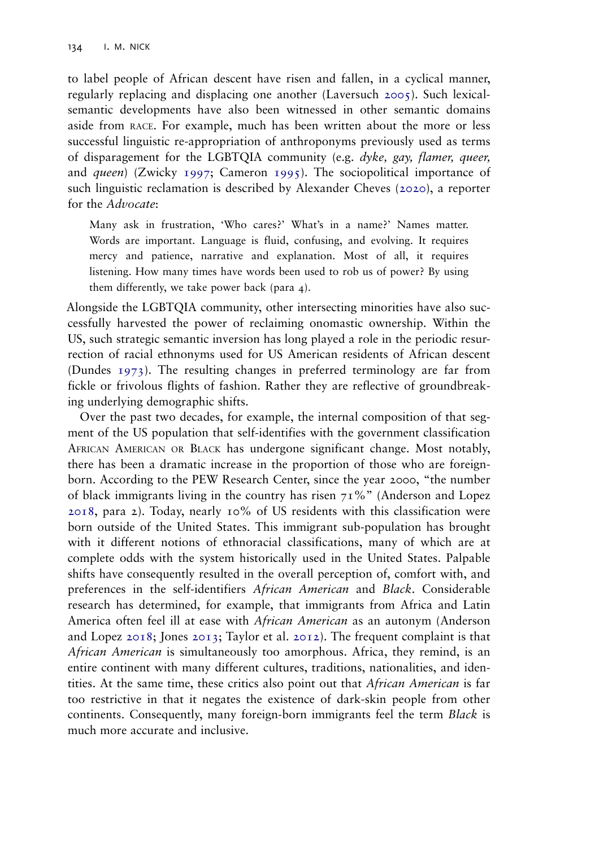<span id="page-3-0"></span>to label people of African descent have risen and fallen, in a cyclical manner, regularly replacing and displacing one another (Laversuch [2005\)](#page-8-0). Such lexicalsemantic developments have also been witnessed in other semantic domains aside from RACE. For example, much has been written about the more or less successful linguistic re-appropriation of anthroponyms previously used as terms of disparagement for the LGBTQIA community (e.g. dyke, gay, flamer, queer, and queen) (Zwicky [1997](#page-9-0); Cameron [1995](#page-7-0)). The sociopolitical importance of such linguistic reclamation is described by Alexander Cheves [\(2020](#page-7-0)), a reporter for the Advocate:

Many ask in frustration, 'Who cares?' What's in a name?' Names matter. Words are important. Language is fluid, confusing, and evolving. It requires mercy and patience, narrative and explanation. Most of all, it requires listening. How many times have words been used to rob us of power? By using them differently, we take power back (para 4).

Alongside the LGBTQIA community, other intersecting minorities have also successfully harvested the power of reclaiming onomastic ownership. Within the US, such strategic semantic inversion has long played a role in the periodic resurrection of racial ethnonyms used for US American residents of African descent (Dundes [1973\)](#page-8-0). The resulting changes in preferred terminology are far from fickle or frivolous flights of fashion. Rather they are reflective of groundbreaking underlying demographic shifts.

Over the past two decades, for example, the internal composition of that segment of the US population that self-identifies with the government classification AFRICAN AMERICAN OR BLACK has undergone significant change. Most notably, there has been a dramatic increase in the proportion of those who are foreignborn. According to the PEW Research Center, since the year 2000, "the number of black immigrants living in the country has risen  $71\%$ " (Anderson and Lopez [2018](#page-7-0), para 2). Today, nearly 10% of US residents with this classification were born outside of the United States. This immigrant sub-population has brought with it different notions of ethnoracial classifications, many of which are at complete odds with the system historically used in the United States. Palpable shifts have consequently resulted in the overall perception of, comfort with, and preferences in the self-identifiers African American and Black. Considerable research has determined, for example, that immigrants from Africa and Latin America often feel ill at ease with African American as an autonym (Anderson and Lopez [2018;](#page-7-0) Jones [2013](#page-8-0); Taylor et al. [2012](#page-8-0)). The frequent complaint is that African American is simultaneously too amorphous. Africa, they remind, is an entire continent with many different cultures, traditions, nationalities, and identities. At the same time, these critics also point out that African American is far too restrictive in that it negates the existence of dark-skin people from other continents. Consequently, many foreign-born immigrants feel the term Black is much more accurate and inclusive.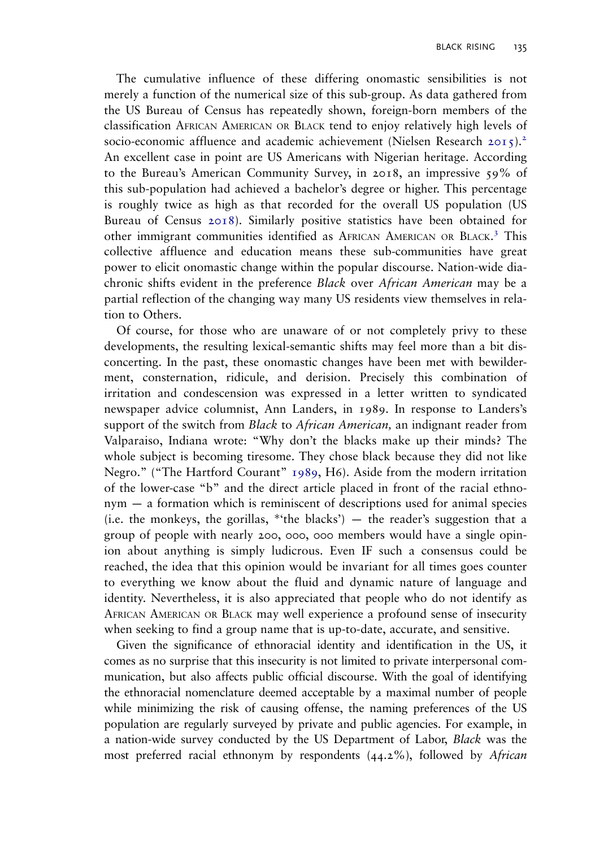<span id="page-4-0"></span>The cumulative influence of these differing onomastic sensibilities is not merely a function of the numerical size of this sub-group. As data gathered from the US Bureau of Census has repeatedly shown, foreign-born members of the classification AFRICAN AMERICAN OR BLACK tend to enjoy relatively high levels of socio-economic affluence and academic achievement (Nielsen Research [2015\)](#page-8-0).<sup>[2](#page-7-0)</sup> An excellent case in point are US Americans with Nigerian heritage. According to the Bureau's American Community Survey, in 2018, an impressive 59% of this sub-population had achieved a bachelor's degree or higher. This percentage is roughly twice as high as that recorded for the overall US population (US Bureau of Census [2018\)](#page-9-0). Similarly positive statistics have been obtained for other immigrant communities identified as AFRICAN AMERICAN OR BLACK. [3](#page-7-0) This collective affluence and education means these sub-communities have great power to elicit onomastic change within the popular discourse. Nation-wide diachronic shifts evident in the preference Black over African American may be a partial reflection of the changing way many US residents view themselves in relation to Others.

Of course, for those who are unaware of or not completely privy to these developments, the resulting lexical-semantic shifts may feel more than a bit disconcerting. In the past, these onomastic changes have been met with bewilderment, consternation, ridicule, and derision. Precisely this combination of irritation and condescension was expressed in a letter written to syndicated newspaper advice columnist, Ann Landers, in 1989. In response to Landers's support of the switch from *Black* to *African American*, an indignant reader from Valparaiso, Indiana wrote: "Why don't the blacks make up their minds? The whole subject is becoming tiresome. They chose black because they did not like Negro." ("The Hartford Courant" [1989,](#page-8-0) H6). Aside from the modern irritation of the lower-case "b" and the direct article placed in front of the racial ethnonym — a formation which is reminiscent of descriptions used for animal species (i.e. the monkeys, the gorillas, \*'the blacks')  $-$  the reader's suggestion that a group of people with nearly 200, 000, 000 members would have a single opinion about anything is simply ludicrous. Even IF such a consensus could be reached, the idea that this opinion would be invariant for all times goes counter to everything we know about the fluid and dynamic nature of language and identity. Nevertheless, it is also appreciated that people who do not identify as AFRICAN AMERICAN OR BLACK may well experience a profound sense of insecurity when seeking to find a group name that is up-to-date, accurate, and sensitive.

Given the significance of ethnoracial identity and identification in the US, it comes as no surprise that this insecurity is not limited to private interpersonal communication, but also affects public official discourse. With the goal of identifying the ethnoracial nomenclature deemed acceptable by a maximal number of people while minimizing the risk of causing offense, the naming preferences of the US population are regularly surveyed by private and public agencies. For example, in a nation-wide survey conducted by the US Department of Labor, *Black* was the most preferred racial ethnonym by respondents  $(44.2\%)$ , followed by *African*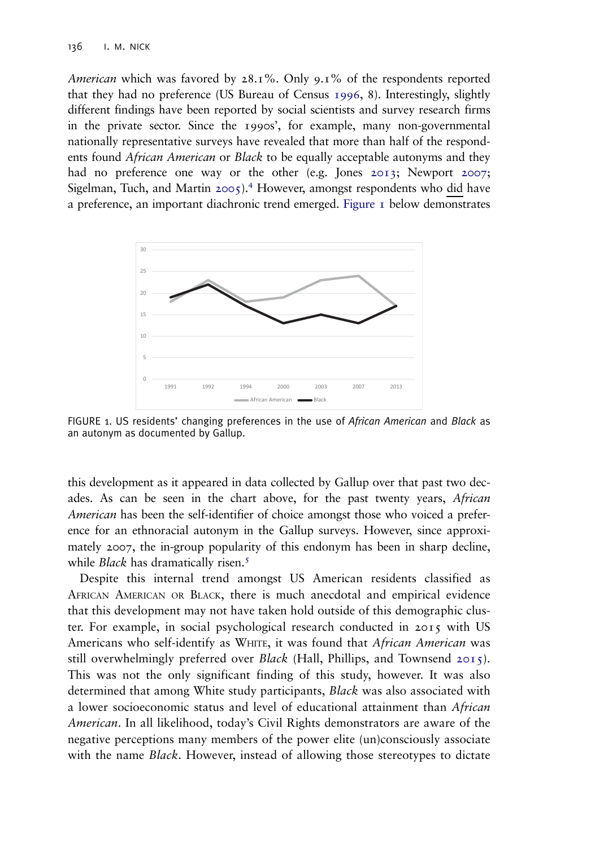<span id="page-5-0"></span>*American* which was favored by  $28.1\%$ . Only  $9.1\%$  of the respondents reported that they had no preference (US Bureau of Census [1996](#page-9-0), 8). Interestingly, slightly different findings have been reported by social scientists and survey research firms in the private sector. Since the 1990s', for example, many non-governmental nationally representative surveys have revealed that more than half of the respondents found *African American* or *Black* to be equally acceptable autonyms and they had no preference one way or the other (e.g. Jones [2013;](#page-8-0) Newport [2007;](#page-8-0) Sigelman, Tuch, and Martin  $2005$ .<sup>[4](#page-7-0)</sup> However, amongst respondents who did have a preference, an important diachronic trend emerged. Figure 1 below demonstrates



FIGURE 1. US residents' changing preferences in the use of African American and Black as an autonym as documented by Gallup.

this development as it appeared in data collected by Gallup over that past two decades. As can be seen in the chart above, for the past twenty years, *African* American has been the self-identifier of choice amongst those who voiced a preference for an ethnoracial autonym in the Gallup surveys. However, since approximately 2007, the in-group popularity of this endonym has been in sharp decline, while *Black* has dramatically risen.<sup>[5](#page-7-0)</sup>

Despite this internal trend amongst US American residents classified as AFRICAN AMERICAN OR BLACK, there is much anecdotal and empirical evidence that this development may not have taken hold outside of this demographic cluster. For example, in social psychological research conducted in 2015 with US Americans who self-identify as WHITE, it was found that African American was still overwhelmingly preferred over *Black* (Hall, Phillips, and Townsend [2015\)](#page-8-0). This was not the only significant finding of this study, however. It was also determined that among White study participants, Black was also associated with a lower socioeconomic status and level of educational attainment than African American. In all likelihood, today's Civil Rights demonstrators are aware of the negative perceptions many members of the power elite (un)consciously associate with the name *Black*. However, instead of allowing those stereotypes to dictate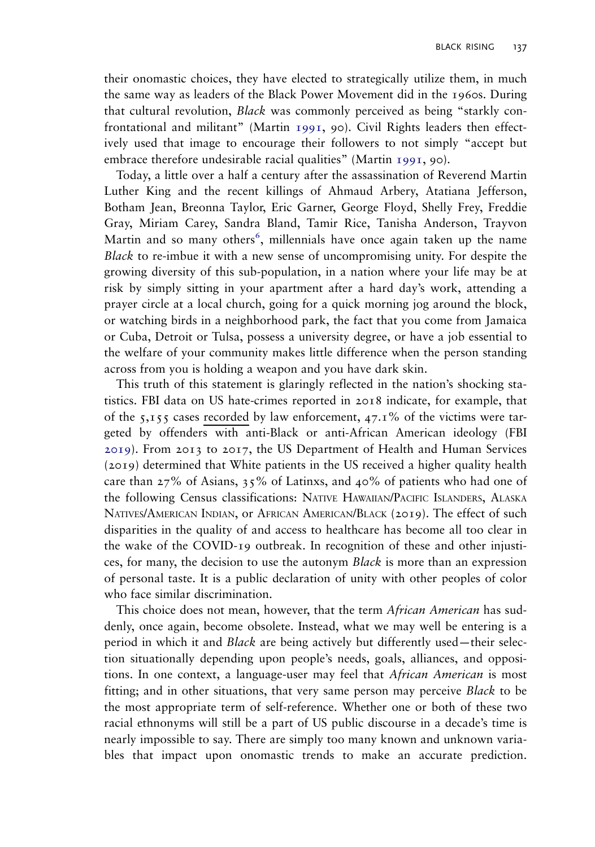<span id="page-6-0"></span>their onomastic choices, they have elected to strategically utilize them, in much the same way as leaders of the Black Power Movement did in the 1960s. During that cultural revolution, Black was commonly perceived as being "starkly confrontational and militant" (Martin [1991](#page-8-0), 90). Civil Rights leaders then effectively used that image to encourage their followers to not simply "accept but embrace therefore undesirable racial qualities" (Martin [1991,](#page-8-0) 90).

Today, a little over a half a century after the assassination of Reverend Martin Luther King and the recent killings of Ahmaud Arbery, Atatiana Jefferson, Botham Jean, Breonna Taylor, Eric Garner, George Floyd, Shelly Frey, Freddie Gray, Miriam Carey, Sandra Bland, Tamir Rice, Tanisha Anderson, Trayvon Martin and so many others<sup>[6](#page-7-0)</sup>, millennials have once again taken up the name Black to re-imbue it with a new sense of uncompromising unity. For despite the growing diversity of this sub-population, in a nation where your life may be at risk by simply sitting in your apartment after a hard day's work, attending a prayer circle at a local church, going for a quick morning jog around the block, or watching birds in a neighborhood park, the fact that you come from Jamaica or Cuba, Detroit or Tulsa, possess a university degree, or have a job essential to the welfare of your community makes little difference when the person standing across from you is holding a weapon and you have dark skin.

This truth of this statement is glaringly reflected in the nation's shocking statistics. FBI data on US hate-crimes reported in 2018 indicate, for example, that of the  $5,155$  cases recorded by law enforcement,  $47.1\%$  of the victims were targeted by offenders with anti-Black or anti-African American ideology (FBI [2019\)](#page-8-0). From 2013 to 2017, the US Department of Health and Human Services (2019) determined that White patients in the US received a higher quality health care than  $27\%$  of Asians,  $35\%$  of Latinxs, and  $40\%$  of patients who had one of the following Census classifications: NATIVE HAWAIIAN/PACIFIC ISLANDERS, ALASKA NATIVES/AMERICAN INDIAN, or AFRICAN AMERICAN/BLACK (2019). The effect of such disparities in the quality of and access to healthcare has become all too clear in the wake of the COVID-19 outbreak. In recognition of these and other injustices, for many, the decision to use the autonym Black is more than an expression of personal taste. It is a public declaration of unity with other peoples of color who face similar discrimination.

This choice does not mean, however, that the term African American has suddenly, once again, become obsolete. Instead, what we may well be entering is a period in which it and Black are being actively but differently used—their selection situationally depending upon people's needs, goals, alliances, and oppositions. In one context, a language-user may feel that *African American* is most fitting; and in other situations, that very same person may perceive Black to be the most appropriate term of self-reference. Whether one or both of these two racial ethnonyms will still be a part of US public discourse in a decade's time is nearly impossible to say. There are simply too many known and unknown variables that impact upon onomastic trends to make an accurate prediction.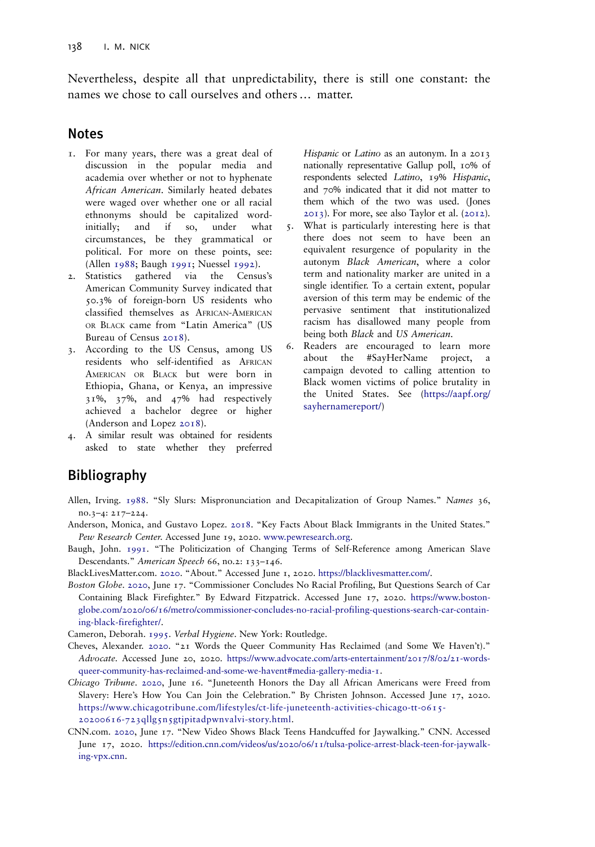<span id="page-7-0"></span>Nevertheless, despite all that unpredictability, there is still one constant: the names we chose to call ourselves and others … matter.

## **Notes**

- [1.](#page-2-0)11111<br>1. For many years, there was a great deal of discussion in the popular media and academia over whether or not to hyphenate African American. Similarly heated debates were waged over whether one or all racial ethnonyms should be capitalized wordinitially; and if so, under what circumstances, be they grammatical or political. For more on these points, see: (Allen 1988; Baugh 1991; Nuessel [1992](#page-8-0)).
- [2.](#page-4-0) Statistics gathered via the Census's American Community Survey indicated that 50.3% of foreign-born US residents who classified themselves as AFRICAN-AMERICAN OR BLACK came from "Latin America" (US Bureau of Census [2018\)](#page-9-0).
- [3.](#page-4-0) According to the US Census, among US residents who self-identified as AFRICAN AMERICAN OR BLACK but were born in Ethiopia, Ghana, or Kenya, an impressive 31%, 37%, and 47% had respectively achieved a bachelor degree or higher (Anderson and Lopez 2018).
- [4.](#page-5-0) A similar result was obtained for residents asked to state whether they preferred

Hispanic or Latino as an autonym. In a 2013 nationally representative Gallup poll, 10% of respondents selected Latino, 19% Hispanic, and 70% indicated that it did not matter to them which of the two was used. (Jones [2013\)](#page-8-0). For more, see also Taylor et al. [\(2012](#page-8-0)). [5.](#page-5-0) What is particularly interesting here is that there does not seem to have been an equivalent resurgence of popularity in the autonym Black American, where a color term and nationality marker are united in a single identifier. To a certain extent, popular aversion of this term may be endemic of the pervasive sentiment that institutionalized racism has disallowed many people from being both Black and US American.

[6.](#page-6-0) Readers are encouraged to learn more about the #SayHerName project, a campaign devoted to calling attention to Black women victims of police brutality in the United States. See ([https://aapf.org/](https://aapf.org/sayhernamereport/) [sayhernamereport/](https://aapf.org/sayhernamereport/))

## $\mathbf{B}$

Allen, Irving. 1988. "Sly Slurs: Mispronunciation and Decapitalization of Group Names." Names 36, no.3–4: 217–224.

Anderson, Monica, and Gustavo Lopez. [2018](#page-3-0). "Key Facts About Black Immigrants in the United States." Pew Research Center. Accessed June 19, 2020. [www.pewresearch.org](http://www.pewresearch.org).

Baugh, John. 1991. "The Politicization of Changing Terms of Self-Reference among American Slave Descendants." American Speech 66, no.2: 133–146.

BlackLivesMatter.com. [2020](#page-2-0). "About." Accessed June 1, 2020. [https://blacklivesmatter.com/.](https://blacklivesmatter.com/)

Boston Globe. [2020,](#page-2-0) June 17. "Commissioner Concludes No Racial Profiling, But Questions Search of Car Containing Black Firefighter." By Edward Fitzpatrick. Accessed June 17, 2020. [https://www.boston](https://www.bostonglobe.com/2020/06/16/metro/commissioner-concludes-no-racial-profiling-questions-search-car-containing-black-firefighter/)[globe.com/2020/06/16/metro/commissioner-concludes-no-racial-profiling-questions-search-car-contain](https://www.bostonglobe.com/2020/06/16/metro/commissioner-concludes-no-racial-profiling-questions-search-car-containing-black-firefighter/)[ing-black-firefighter/](https://www.bostonglobe.com/2020/06/16/metro/commissioner-concludes-no-racial-profiling-questions-search-car-containing-black-firefighter/).

Cameron, Deborah. [1995.](#page-3-0) Verbal Hygiene. New York: Routledge.

- Cheves, Alexander. [2020.](#page-3-0) "21 Words the Queer Community Has Reclaimed (and Some We Haven't)." Advocate. Accessed June 20, 2020. [https://www.advocate.com/arts-entertainment/2017/8/02/21-words](https://www.advocate.com/arts-entertainment/2017/8/02/21-words-queer-community-has-reclaimed-and-some-we-havent#media-gallery-media-1)[queer-community-has-reclaimed-and-some-we-havent#media-gallery-media-1](https://www.advocate.com/arts-entertainment/2017/8/02/21-words-queer-community-has-reclaimed-and-some-we-havent#media-gallery-media-1).
- Chicago Tribune. [2020](#page-2-0), June 16. "Juneteenth Honors the Day all African Americans were Freed from Slavery: Here's How You Can Join the Celebration." By Christen Johnson. Accessed June 17, 2020. [https://www.chicagotribune.com/lifestyles/ct-life-juneteenth-activities-chicago-tt-0615-](https://www.chicagotribune.com/lifestyles/ct-life-juneteenth-activities-chicago-tt-0615-20200616-723qllg5n5gtjpitadpwnvalvi-story.html) [20200616-723qllg5n5gtjpitadpwnvalvi-story.html.](https://www.chicagotribune.com/lifestyles/ct-life-juneteenth-activities-chicago-tt-0615-20200616-723qllg5n5gtjpitadpwnvalvi-story.html)
- CNN.com. [2020](#page-2-0), June 17. "New Video Shows Black Teens Handcuffed for Jaywalking." CNN. Accessed June 17, 2020. [https://edition.cnn.com/videos/us/2020/06/11/tulsa-police-arrest-black-teen-for-jaywalk](https://edition.cnn.com/videos/us/2020/06/11/tulsa-police-arrest-black-teen-for-jaywalking-vpx.cnn)[ing-vpx.cnn](https://edition.cnn.com/videos/us/2020/06/11/tulsa-police-arrest-black-teen-for-jaywalking-vpx.cnn).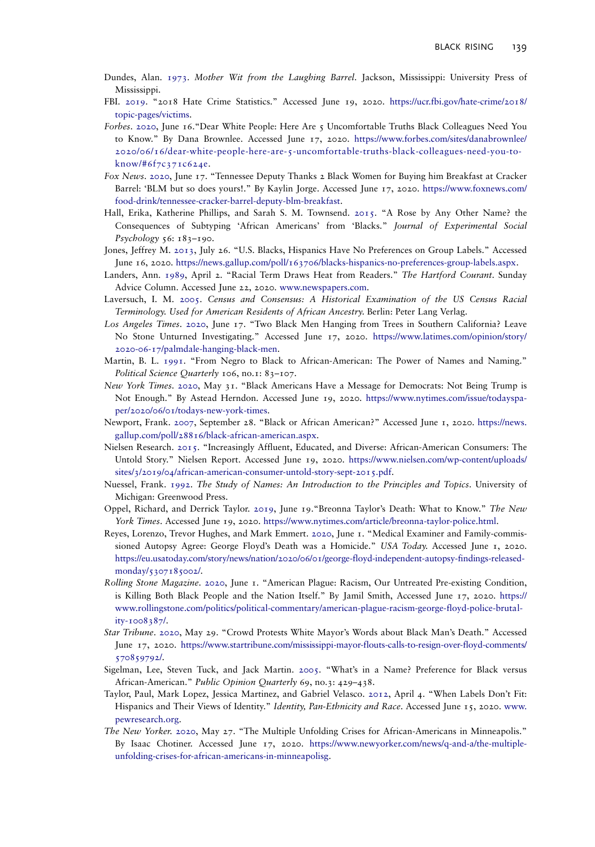- <span id="page-8-0"></span>Dundes, Alan. [1973](#page-3-0). Mother Wit from the Laughing Barrel. Jackson, Mississippi: University Press of Mississippi.
- FBI. [2019.](#page-6-0) "2018 Hate Crime Statistics." Accessed June 19, 2020. [https://ucr.fbi.gov/hate-crime/2018/](https://ucr.fbi.gov/hate-crime/2018/topic-pages/victims) [topic-pages/victims](https://ucr.fbi.gov/hate-crime/2018/topic-pages/victims).
- Forbes. [2020](#page-2-0), June 16."Dear White People: Here Are 5 Uncomfortable Truths Black Colleagues Need You to Know." By Dana Brownlee. Accessed June 17, 2020. [https://www.forbes.com/sites/danabrownlee/](https://www.forbes.com/sites/danabrownlee/2020/06/16/dear-white-people-here-are-5-uncomfortable-truths-black-colleagues-need-you-to-know/#6f7c371c624e) [2020/06/16/dear-white-people-here-are-5-uncomfortable-truths-black-colleagues-need-you-to](https://www.forbes.com/sites/danabrownlee/2020/06/16/dear-white-people-here-are-5-uncomfortable-truths-black-colleagues-need-you-to-know/#6f7c371c624e)[know/#6f7c371c624e.](https://www.forbes.com/sites/danabrownlee/2020/06/16/dear-white-people-here-are-5-uncomfortable-truths-black-colleagues-need-you-to-know/#6f7c371c624e)
- Fox News. [2020,](#page-2-0) June 17. "Tennessee Deputy Thanks 2 Black Women for Buying him Breakfast at Cracker Barrel: 'BLM but so does yours!." By Kaylin Jorge. Accessed June 17, 2020. [https://www.foxnews.com/](https://www.foxnews.com/food-drink/tennessee-cracker-barrel-deputy-blm-breakfast) [food-drink/tennessee-cracker-barrel-deputy-blm-breakfast](https://www.foxnews.com/food-drink/tennessee-cracker-barrel-deputy-blm-breakfast).
- Hall, Erika, Katherine Phillips, and Sarah S. M. Townsend. [2015.](#page-5-0) "A Rose by Any Other Name? the Consequences of Subtyping 'African Americans' from 'Blacks." Journal of Experimental Social Psychology 56: 183–190.
- Jones, Jeffrey M. [2013,](#page-3-0) July 26. "U.S. Blacks, Hispanics Have No Preferences on Group Labels." Accessed June 16, 2020. <https://news.gallup.com/poll/163706/blacks-hispanics-no-preferences-group-labels.aspx>.
- Landers, Ann. [1989](#page-4-0), April 2. "Racial Term Draws Heat from Readers." The Hartford Courant. Sunday Advice Column. Accessed June 22, 2020. [www.newspapers.com](http://www.newspapers.com).
- Laversuch, I. M. [2005.](#page-3-0) Census and Consensus: A Historical Examination of the US Census Racial Terminology. Used for American Residents of African Ancestry. Berlin: Peter Lang Verlag.
- Los Angeles Times. [2020,](#page-2-0) June 17. "Two Black Men Hanging from Trees in Southern California? Leave No Stone Unturned Investigating." Accessed June 17, 2020. [https://www.latimes.com/opinion/story/](https://www.latimes.com/opinion/story/2020-06-17/palmdale-hanging-black-men) [2020-06-17/palmdale-hanging-black-men](https://www.latimes.com/opinion/story/2020-06-17/palmdale-hanging-black-men).
- Martin, B. L. [1991](#page-6-0). "From Negro to Black to African-American: The Power of Names and Naming." Political Science Quarterly 106, no.1: 83-107.
- New York Times. [2020](#page-1-0), May 31. "Black Americans Have a Message for Democrats: Not Being Trump is Not Enough." By Astead Herndon. Accessed June 19, 2020. [https://www.nytimes.com/issue/todayspa](https://www.nytimes.com/issue/todayspaper/2020/06/01/todays-new-york-times)[per/2020/06/01/todays-new-york-times.](https://www.nytimes.com/issue/todayspaper/2020/06/01/todays-new-york-times)
- Newport, Frank. [2007,](#page-5-0) September 28. "Black or African American?" Accessed June 1, 2020. [https://news.](https://news.gallup.com/poll/28816/black-african-american.aspx) [gallup.com/poll/28816/black-african-american.aspx.](https://news.gallup.com/poll/28816/black-african-american.aspx)
- Nielsen Research. [2015.](#page-4-0) "Increasingly Affluent, Educated, and Diverse: African-American Consumers: The Untold Story." Nielsen Report. Accessed June 19, 2020. [https://www.nielsen.com/wp-content/uploads/](https://www.nielsen.com/wp-content/uploads/sites/3/2019/04/african-american-consumer-untold-story-sept-2015.pdf) [sites/3/2019/04/african-american-consumer-untold-story-sept-2015.pdf.](https://www.nielsen.com/wp-content/uploads/sites/3/2019/04/african-american-consumer-untold-story-sept-2015.pdf)
- Nuessel, Frank. [1992.](#page-7-0) The Study of Names: An Introduction to the Principles and Topics. University of Michigan: Greenwood Press.
- Oppel, Richard, and Derrick Taylor. [2019](#page-1-0), June 19. "Breonna Taylor's Death: What to Know." The New York Times. Accessed June 19, 2020. [https://www.nytimes.com/article/breonna-taylor-police.html.](https://www.nytimes.com/article/breonna-taylor-police.html)
- Reyes, Lorenzo, Trevor Hughes, and Mark Emmert. [2020,](#page-1-0) June 1. "Medical Examiner and Family-commissioned Autopsy Agree: George Floyd's Death was a Homicide." USA Today. Accessed June 1, 2020. [https://eu.usatoday.com/story/news/nation/2020/06/01/george-floyd-independent-autopsy-findings-released](https://eu.usatoday.com/story/news/nation/2020/06/01/george-floyd-independent-autopsy-findings-released-monday/5307185002/)[monday/5307185002/](https://eu.usatoday.com/story/news/nation/2020/06/01/george-floyd-independent-autopsy-findings-released-monday/5307185002/).
- Rolling Stone Magazine. [2020](#page-1-0), June 1. "American Plague: Racism, Our Untreated Pre-existing Condition, is Killing Both Black People and the Nation Itself." By Jamil Smith, Accessed June 17, 2020. [https://](https://www.rollingstone.com/politics/political-commentary/american-plague-racism-george-floyd-police-brutality-1008387/) [www.rollingstone.com/politics/political-commentary/american-plague-racism-george-floyd-police-brutal](https://www.rollingstone.com/politics/political-commentary/american-plague-racism-george-floyd-police-brutality-1008387/)[ity-1008387/.](https://www.rollingstone.com/politics/political-commentary/american-plague-racism-george-floyd-police-brutality-1008387/)
- Star Tribune. [2020,](#page-1-0) May 29. "Crowd Protests White Mayor's Words about Black Man's Death." Accessed June 17, 2020. [https://www.startribune.com/mississippi-mayor-flouts-calls-to-resign-over-floyd-comments/](https://www.startribune.com/mississippi-mayor-flouts-calls-to-resign-over-floyd-comments/570859792/) [570859792/](https://www.startribune.com/mississippi-mayor-flouts-calls-to-resign-over-floyd-comments/570859792/).
- Sigelman, Lee, Steven Tuck, and Jack Martin. [2005](#page-5-0). "What's in a Name? Preference for Black versus African-American." Public Opinion Quarterly 69, no.3: 429-438.
- Taylor, Paul, Mark Lopez, Jessica Martinez, and Gabriel Velasco. [2012](#page-3-0), April 4. "When Labels Don't Fit: Hispanics and Their Views of Identity." Identity, Pan-Ethnicity and Race. Accessed June 15, 2020. [www.](http://www.pewresearch.org) [pewresearch.org](http://www.pewresearch.org).
- The New Yorker. [2020](#page-1-0), May 27. "The Multiple Unfolding Crises for African-Americans in Minneapolis." By Isaac Chotiner. Accessed June 17, 2020. [https://www.newyorker.com/news/q-and-a/the-multiple](https://www.newyorker.com/news/q-and-a/the-multiple-unfolding-crises-for-african-americans-in-minneapolisg)[unfolding-crises-for-african-americans-in-minneapolisg.](https://www.newyorker.com/news/q-and-a/the-multiple-unfolding-crises-for-african-americans-in-minneapolisg)